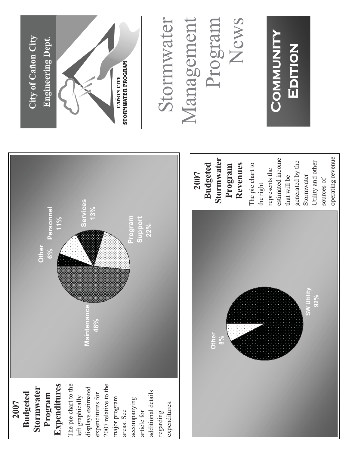## **Community Community**  COMMUNITY EDITION **Edition**

## Stormwater Management Program News Stormwater Management